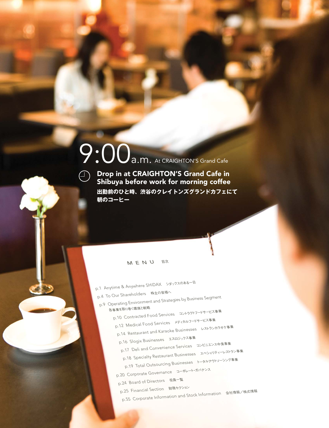# 9:00a.m. At CRAIGHTON'S Grand Cafe

**出勤前のひと時、渋谷のクレイトンズグランドカフェにて 朝のコーヒー** Drop in at CRAIGHTON'S Grand Cafe in Shibuya before work for morning coffee

#### M E N U 日次

p.1 Anytime & Anywhere SHiDAX シダックスのある一日 p.4 To Our Shareholders 株主の皆様へ p.9 Operating Environment and Strategies by Business Segment 各事業を取り巻く環境と戦略 p.10 Contracted Food Services コントラクトフードサービス事業 p.12 Medical Food Services メディカルフードサービス事業 p.14 Restaurant and Karaoke Businesses レストランカラオケ事業 p.16 Slogix Businesses エスロジックス事業 p.17 Deli and Convenience Services コンビニエンス中食事業 p.18 Specialty Restaurant Businesses スペシャリティーレストラン事業 p.19 Total Outsourcing Businesses トータルアウトソーシング事業 p.20 Corporate Governance コーポレート・ガバナンス p.24 Board of Directors 役員一覧 p.25 Financial Section 財務セクション p.55 Corporate Information and Stock Information 会社情報/株式情報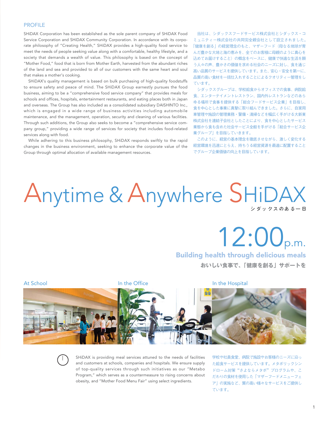#### PROFILE

SHiDAX Corporation has been established as the sole parent company of SHiDAX Food Service Corporation and SHiDAX Community Corporation. In accordance with its corporate philosophy of "Creating Health," SHiDAX provides a high-quality food service to meet the needs of people seeking value along with a comfortable, healthy lifestyle, and a society that demands a wealth of value. This philosophy is based on the concept of "Mother Food," food that is born from Mother Earth, harvested from the abundant riches of the land and sea and provided to all of our customers with the same heart and soul that makes a mother's cooking.

SHiDAX's quality management is based on bulk purchasing of high-quality foodstuffs to ensure safety and peace of mind. The SHiDAX Group earnestly pursues the food business, aiming to be a "comprehensive food service company" that provides meals for schools and offices, hospitals, entertainment restaurants, and eating places both in Japan and overseas. The Group has also included as a consolidated subsidiary DAISHINTO Inc., which is engaged in a wide range of business activities including automobile maintenance, and the management, operation, security and cleaning of various facilities. Through such additions, the Group also seeks to become a "comprehensive service company group," providing a wide range of services for society that includes food-related services along with food.

While adhering to this business philosophy, SHiDAX responds swiftly to the rapid changes in the business environment, seeking to enhance the corporate value of the Group through optimal allocation of available management resources.

当社は、シダックスフードサービス株式会社とシダックス・コ ミュニティー株式会社の共同完全親会社として設立されました。 「健康を創る」の経営理念のもと、マザーフード(母なる地球が育 んだ豊かな大地と海の恵みを、全てのお客様に母親のように真心を 込めてお届けすること)の概念をベースに、健康で快適な生活を願 う人々の声、豊かさの価値を求める社会のニーズに対し、食を通じ 高い品質のサービスを提供しています。また、安心・安全を第一に、 品質の高い食材を一括仕入れすることによるクオリティー管理をし ています。

シダックスグループは、学校給食からオフィスでの食事、病院給 食、エンターテイメントレストラン、国内外レストランなどのあら ゆる場所で食事を提供する「総合フードサービス企業」を目指し、 食を中心とした事業に真摯に取り組んできました。さらに、自家用 車管理や施設の管理業務・警備・清掃などを幅広く手がける大新東 株式会社を連結子会社としたことにより、食を中心としたサービス 業態から食も含めた社会サービス全般を手がける「総合サービス企 業グループ」を目指していきます。

このように、経営の基本理念を徹底させながら、激しく変化する 経営環境を迅速にとらえ、持ちうる経営資源を最適に配置すること でグループ企業価値の向上を目指しています。

## Anytime & Anywhere SHiDAX

 $12:00$ <sub>p.m.</sub>

**おいしい食事で、「健康を創る」サポートを** Building health through delicious meals





SHiDAX is providing meal services attuned to the needs of facilities and customers at schools, companies and hospitals. We ensure supply of top-quality services through such initiatives as our "Metabo Program," which serves as a countermeasure to rising concerns about obesity, and "Mother Food Menu Fair" using select ingredients.

学校や社員食堂、病院で施設やお客様のニーズに沿っ た給食サービスを提供しています。メタボリックシン ドローム対策"さよならメタボ"プログラムや、こ だわりの食材を使用した「マザーフードメニューフェ ア」の実施など、質の高い様々なサービスをご提供し ています。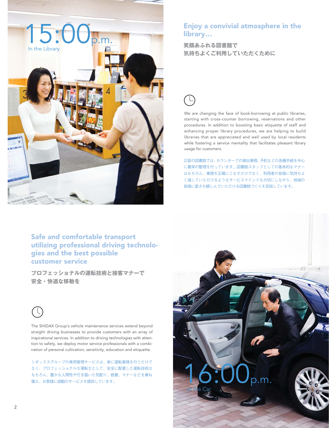

### Enjoy a convivial atmosphere in the library…

**気持ちよくご利用していただくために**



We are changing the face of book-borrowing at public libraries, starting with cross-counter borrowing, reservations and other procedures. In addition to boosting basic etiquette of staff and enhancing proper library procedures, we are helping to build libraries that are appreciated and well used by local residents while fostering a service mentality that facilitates pleasant library usage for customers.

公営の図書館では、カウンターでの貸出業務、予約などの各種手続を中心 に書架の整理を行っています。図書館スタッフとしての基本的なマナー はもちろん、業務を正確にこなすだけでなく、利用者の皆様に気持ちよ く過していただけるようなサービスマインドも大切にしながら、地域の 皆様に愛され親しんでいただける図書館づくりを目指しています。

Safe and comfortable transport utilizing professional driving technologies and the best possible customer service

**プロフェッショナルの運転技術と接客マナーで 安全・快適な移動を**



The SHiDAX Group's vehicle maintenance services extend beyond straight driving businesses to provide customers with an array of inspirational services. In addition to driving technologies with attention to safety, we deploy motor service professionals with a combination of personal cultivation, sensitivity, education and etiquette.

シダックスグループの車両管理サービスは、単に運転業務を行うだけで なく、プロフェッショナルな運転士として、安全に配慮した運転技術は もちろん、豊かな人間性や行き届いた気配り、教養、マナーなどを兼ね 備え、お客様に感動のサービスを提供しています。